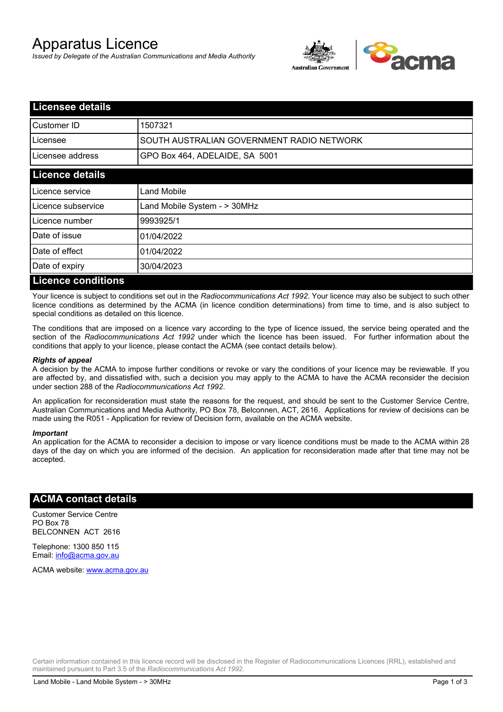# Apparatus Licence

*Issued by Delegate of the Australian Communications and Media Authority*



| <b>Licensee details</b>   |                                           |
|---------------------------|-------------------------------------------|
| <b>I</b> Customer ID      | 1507321                                   |
| Licensee                  | SOUTH AUSTRALIAN GOVERNMENT RADIO NETWORK |
| Licensee address          | GPO Box 464, ADELAIDE, SA 5001            |
| <b>Licence details</b>    |                                           |
| Licence service           | Land Mobile                               |
| Licence subservice        | Land Mobile System - > 30MHz              |
| Licence number            | 9993925/1                                 |
| Date of issue             | 01/04/2022                                |
| Date of effect            | 01/04/2022                                |
| Date of expiry            | 30/04/2023                                |
| <b>Licence conditions</b> |                                           |

Your licence is subject to conditions set out in the *Radiocommunications Act 1992*. Your licence may also be subject to such other licence conditions as determined by the ACMA (in licence condition determinations) from time to time, and is also subject to special conditions as detailed on this licence.

The conditions that are imposed on a licence vary according to the type of licence issued, the service being operated and the section of the *Radiocommunications Act 1992* under which the licence has been issued. For further information about the conditions that apply to your licence, please contact the ACMA (see contact details below).

#### *Rights of appeal*

A decision by the ACMA to impose further conditions or revoke or vary the conditions of your licence may be reviewable. If you are affected by, and dissatisfied with, such a decision you may apply to the ACMA to have the ACMA reconsider the decision under section 288 of the *Radiocommunications Act 1992*.

An application for reconsideration must state the reasons for the request, and should be sent to the Customer Service Centre, Australian Communications and Media Authority, PO Box 78, Belconnen, ACT, 2616. Applications for review of decisions can be made using the R051 - Application for review of Decision form, available on the ACMA website.

#### *Important*

An application for the ACMA to reconsider a decision to impose or vary licence conditions must be made to the ACMA within 28 days of the day on which you are informed of the decision. An application for reconsideration made after that time may not be accepted.

### **ACMA contact details**

Customer Service Centre PO Box 78 BELCONNEN ACT 2616

Telephone: 1300 850 115 Email: info@acma.gov.au

ACMA website: www.acma.gov.au

Certain information contained in this licence record will be disclosed in the Register of Radiocommunications Licences (RRL), established and maintained pursuant to Part 3.5 of the *Radiocommunications Act 1992.*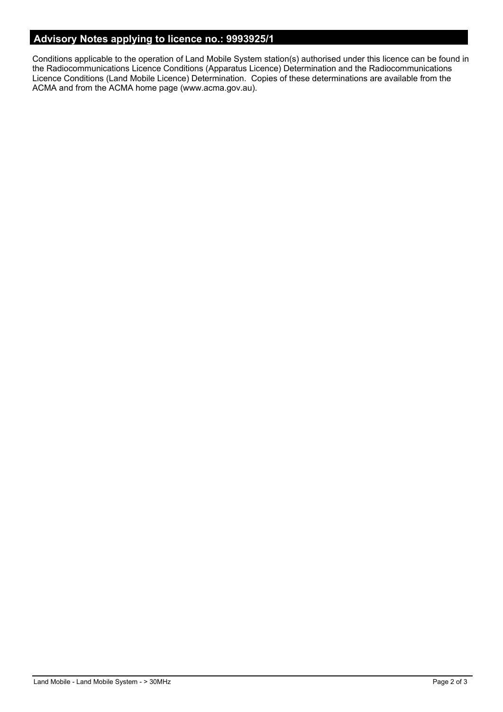# **Advisory Notes applying to licence no.: 9993925/1**

Conditions applicable to the operation of Land Mobile System station(s) authorised under this licence can be found in the Radiocommunications Licence Conditions (Apparatus Licence) Determination and the Radiocommunications Licence Conditions (Land Mobile Licence) Determination. Copies of these determinations are available from the ACMA and from the ACMA home page (www.acma.gov.au).